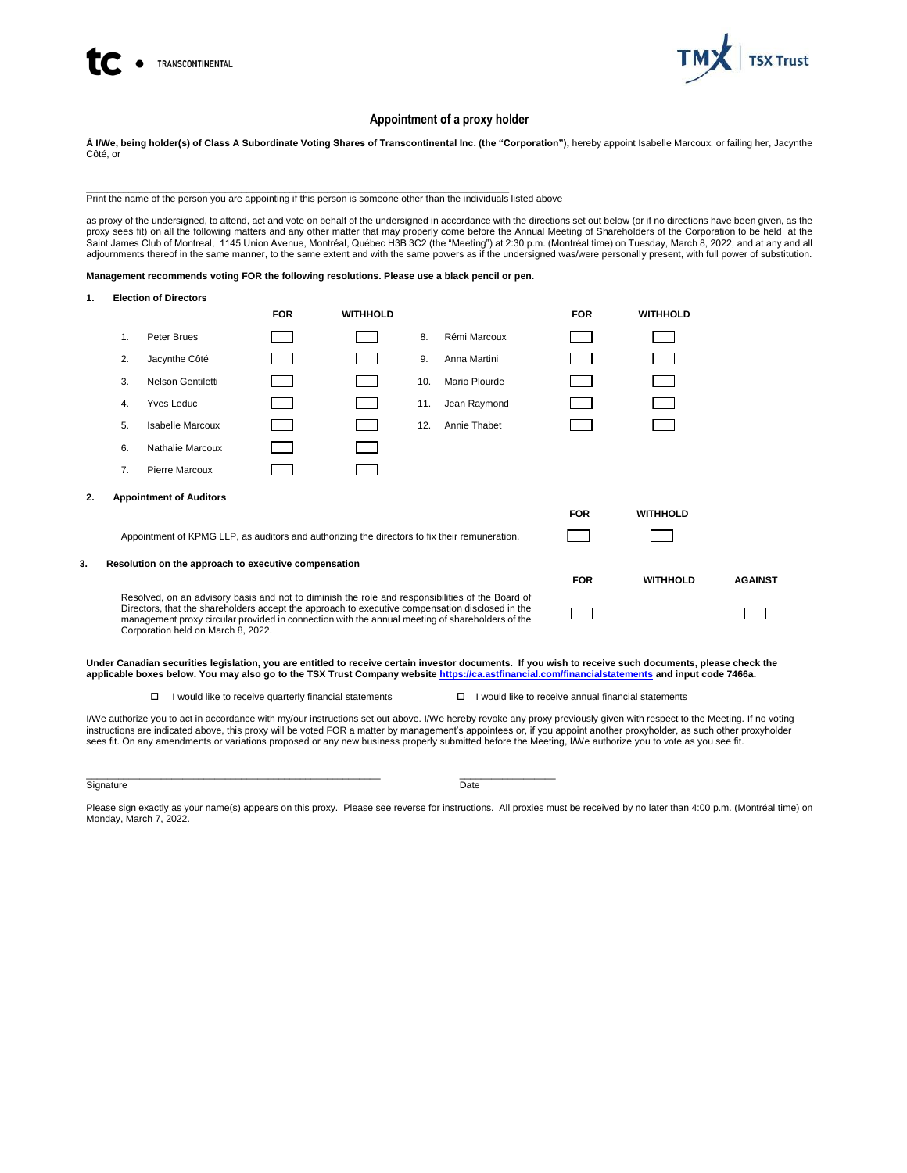



## **Appointment of a proxy holder**

**À I/We, being holder(s) of Class A Subordinate Voting Shares of Transcontinental Inc. (the "Corporation"),** hereby appoint Isabelle Marcoux, or failing her, Jacynthe Côté, or

\_\_\_\_\_\_\_\_\_\_\_\_\_\_\_\_\_\_\_\_\_\_\_\_\_\_\_\_\_\_\_\_\_\_\_\_\_\_\_\_\_\_\_\_\_\_\_\_\_\_\_\_\_\_\_\_\_\_\_\_\_\_\_\_\_\_\_\_\_\_\_\_\_\_\_\_\_\_\_ Print the name of the person you are appointing if this person is someone other than the individuals listed above

as proxy of the undersigned, to attend, act and vote on behalf of the undersigned in accordance with the directions set out below (or if no directions have been given, as the<br>proxy sees fit) on all the following matters an adjournments thereof in the same manner, to the same extent and with the same powers as if the undersigned was/were personally present, with full power of substitution.

**Management recommends voting FOR the following resolutions. Please use a black pencil or pen.**

| 1. |                                                                                                                                                                                                                                                                                                                                              | <b>Election of Directors</b>                         |            |                 |     |               |            |                 |                |
|----|----------------------------------------------------------------------------------------------------------------------------------------------------------------------------------------------------------------------------------------------------------------------------------------------------------------------------------------------|------------------------------------------------------|------------|-----------------|-----|---------------|------------|-----------------|----------------|
|    |                                                                                                                                                                                                                                                                                                                                              |                                                      | <b>FOR</b> | <b>WITHHOLD</b> |     |               | <b>FOR</b> | <b>WITHHOLD</b> |                |
|    | 1.                                                                                                                                                                                                                                                                                                                                           | Peter Brues                                          |            |                 | 8.  | Rémi Marcoux  |            |                 |                |
|    | 2.                                                                                                                                                                                                                                                                                                                                           | Jacynthe Côté                                        |            |                 | 9.  | Anna Martini  |            |                 |                |
|    | 3.                                                                                                                                                                                                                                                                                                                                           | Nelson Gentiletti                                    |            |                 | 10. | Mario Plourde |            |                 |                |
|    | 4.                                                                                                                                                                                                                                                                                                                                           | <b>Yves Leduc</b>                                    |            |                 | 11. | Jean Raymond  |            |                 |                |
|    | 5.                                                                                                                                                                                                                                                                                                                                           | <b>Isabelle Marcoux</b>                              |            |                 | 12. | Annie Thabet  |            |                 |                |
|    | 6.                                                                                                                                                                                                                                                                                                                                           | Nathalie Marcoux                                     |            |                 |     |               |            |                 |                |
|    | 7.                                                                                                                                                                                                                                                                                                                                           | <b>Pierre Marcoux</b>                                |            |                 |     |               |            |                 |                |
| 2. |                                                                                                                                                                                                                                                                                                                                              | <b>Appointment of Auditors</b>                       |            |                 |     |               |            |                 |                |
|    |                                                                                                                                                                                                                                                                                                                                              |                                                      |            |                 |     |               | <b>FOR</b> | <b>WITHHOLD</b> |                |
|    | Appointment of KPMG LLP, as auditors and authorizing the directors to fix their remuneration.                                                                                                                                                                                                                                                |                                                      |            |                 |     |               |            |                 |                |
| 3. |                                                                                                                                                                                                                                                                                                                                              | Resolution on the approach to executive compensation |            |                 |     |               |            |                 |                |
|    |                                                                                                                                                                                                                                                                                                                                              |                                                      |            |                 |     |               | <b>FOR</b> | <b>WITHHOLD</b> | <b>AGAINST</b> |
|    | Resolved, on an advisory basis and not to diminish the role and responsibilities of the Board of<br>Directors, that the shareholders accept the approach to executive compensation disclosed in the<br>management proxy circular provided in connection with the annual meeting of shareholders of the<br>Corporation held on March 8, 2022. |                                                      |            |                 |     |               |            |                 |                |

**Under Canadian securities legislation, you are entitled to receive certain investor documents. If you wish to receive such documents, please check the applicable boxes below. You may also go to the TSX Trust Company website<https://ca.astfinancial.com/financialstatements> and input code 7466a.** 

 $\Box$  I would like to receive quarterly financial statements  $\Box$  I would like to receive annual financial statements

I/We authorize you to act in accordance with my/our instructions set out above. I/We hereby revoke any proxy previously given with respect to the Meeting. If no voting instructions are indicated above, this proxy will be voted FOR a matter by management's appointees or, if you appoint another proxyholder, as such other proxyholder<br>sees fit. On any amendments or variations proposed or any

Signature Date Date of the Date of the Date of the Date of the Date of the Date of the Date of the Date of the

 $\_$  , and the set of the set of the set of the set of the set of the set of the set of the set of the set of the set of the set of the set of the set of the set of the set of the set of the set of the set of the set of th

Please sign exactly as your name(s) appears on this proxy. Please see reverse for instructions. All proxies must be received by no later than 4:00 p.m. (Montréal time) on Monday, March 7, 2022.